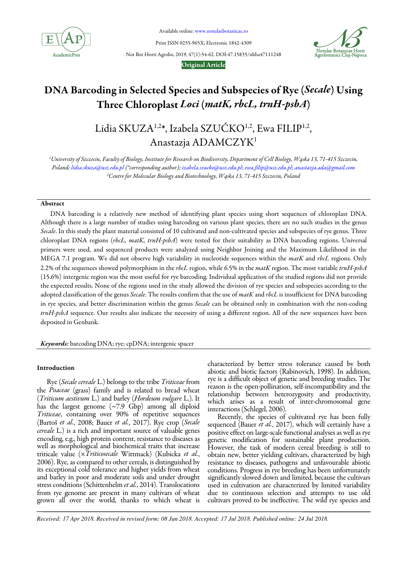

Available online: www.notulaebotanicae.ro

Print ISSN 0255-965X; Electronic 1842-4309

Not Bot Horti Agrobo, 2019, 47(1):54-62. DOI:47.15835/nbha47111248



#### Original Article

## DNA Barcoding in Selected Species and Subspecies of Rye (Secale) Using Three Chloroplast Loci (matK, rbcL, trnH-psbA)

# Lidia SKUZA<sup>1,2\*</sup>, Izabela SZUĆKO<sup>1,2</sup>, Ewa FILIP<sup>1,2</sup>, Anastazja ADAMCZYK<sup>1</sup>

<sup>1</sup>University of Szczecin, Faculty of Biology, Institute for Research on Biodiversity, Department of Cell Biology, Wąska 13, 71-415 Szczecin, Poland; lidia.skuza@usz.edu.pl (\*corresponding author); izabela.szucko@usz.edu.pl; ewa.filip@usz.edu.pl; anastazja.ada@gmail.com <sup>2</sup>Centre for Molecular Biology and Biotechnology, Wąska 13, 71-415 Szczecin, Poland

## Abstract

DNA barcoding is a relatively new method of identifying plant species using short sequences of chloroplast DNA. Although there is a large number of studies using barcoding on various plant species, there are no such studies in the genus Secale. In this study the plant material consisted of 10 cultivated and non-cultivated species and subspecies of rye genus. Three chloroplast DNA regions (rbcL, matK, trnH-psbA) were tested for their suitability as DNA barcoding regions. Universal primers were used, and sequenced products were analyzed using Neighbor Joining and the Maximum Likelihood in the MEGA 7.1 program. We did not observe high variability in nucleotide sequences within the *matK* and *rbcL* regions. Only 2.2% of the sequences showed polymorphism in the rbcL region, while 6.5% in the matK region. The most variable  $trnH-psbA$ (15.6%) intergenic region was the most useful for rye barcoding. Individual application of the studied regions did not provide the expected results. None of the regions used in the study allowed the division of rye species and subspecies according to the adopted classification of the genus Secale. The results confirm that the use of matK and rbcL is insufficient for DNA barcoding in rye species, and better discrimination within the genus Secale can be obtained only in combination with the non-coding trnH-psbA sequence. Our results also indicate the necessity of using a different region. All of the new sequences have been deposited in Genbank.

Keywords: barcoding DNA; rye; cpDNA; intergenic spacer

#### Introduction

Rye (Secale cereale L.) belongs to the tribe Triticeae from the Poaceae (grass) family and is related to bread wheat (Triticum aestivum L.) and barley (Hordeum vulgare L.). It has the largest genome  $(\sim 7.9 \text{ Gbp})$  among all diploid Triticeae, containing over 90% of repetitive sequences (Bartoš et al., 2008; Bauer et al., 2017). Rye crop (Secale cereale L.) is a rich and important source of valuable genes encoding, e.g., high protein content, resistance to diseases as well as morphological and biochemical traits that increase triticale value (×Triticosecale Wittmack) (Kubicka et al., 2006). Rye, as compared to other cereals, is distinguished by its exceptional cold tolerance and higher yields from wheat and barley in poor and moderate soils and under drought stress conditions (Schittenhelm et al., 2014). Translocations from rye genome are present in many cultivars of wheat grown all over the world, thanks to which wheat is characterized by better stress tolerance caused by both abiotic and biotic factors (Rabinovich, 1998). In addition, rye is a difficult object of genetic and breeding studies. The reason is the open-pollination, self-incompatibility and the relationship between heterozygosity and productivity, which arises as a result of inter-chromosomal gene interactions (Schlegel, 2006).

Recently, the species of cultivated rye has been fully sequenced (Bauer et al., 2017), which will certainly have a positive effect on large-scale functional analyses as well as rye genetic modification for sustainable plant production. However, the task of modern cereal breeding is still to obtain new, better yielding cultivars, characterized by high resistance to diseases, pathogens and unfavourable abiotic conditions. Progress in rye breeding has been unfortunately significantly slowed down and limited, because the cultivars used in cultivation are characterized by limited variability due to continuous selection and attempts to use old cultivars proved to be ineffective. The wild rye species and

*Received: 17 Apr 2018. Received in revised form: 08 Jun 2018. Accepted: 17 Jul 2018. Published online: 24 Jul 2018.*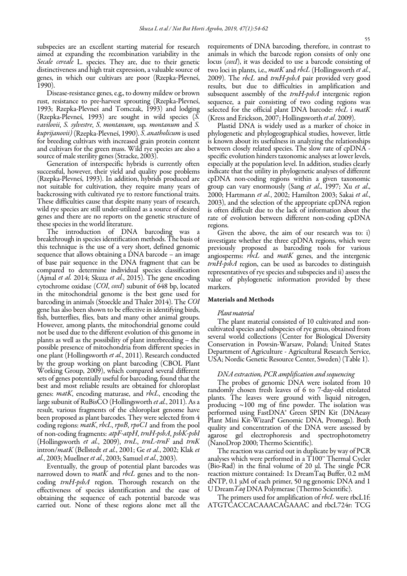subspecies are an excellent starting material for research aimed at expanding the recombination variability in the Secale cereale L. species. They are, due to their genetic distinctiveness and high trait expression, a valuable source of genes, in which our cultivars are poor (Rzepka-Plevneś, 1990).

Disease-resistance genes, e.g., to downy mildew or brown rust, resistance to pre-harvest sprouting (Rzepka-Plevneś, 1993; Rzepka-Plevneś and Tomczak, 1993) and lodging (Rzepka-Plevneś, 1993) are sought in wild species (S. vavilovii, S. sylvestre, S. montanum, ssp. montanum and S. kuprijanovii) (Rzepka-Plevneś, 1990). S. anatholicum is used for breeding cultivars with increased grain protein content and cultivars for the green mass. Wild rye species are also a source of male sterility genes (Stracke, 2003).

Generation of interspecific hybrids is currently often successful, however, their yield and quality pose problems (Rzepka-Plevneś, 1993). In addition, hybrids produced are not suitable for cultivation, they require many years of backcrossing with cultivated rye to restore functional traits. These difficulties cause that despite many years of research, wild rye species are still under-utilized as a source of desired genes and there are no reports on the genetic structure of these species in the world literature.

The introduction of DNA barcoding was a breakthrough in species identification methods. The basis of this technique is the use of a very short, defined genomic sequence that allows obtaining a DNA barcode – an image of base pair sequence in the DNA fragment that can be compared to determine individual species classification (Ajmal *et al.* 2014; Skuza *et al.*, 2015). The gene encoding cytochrome oxidase (COI, coxI) subunit of 648 bp, located in the mitochondrial genome is the best gene used for barcoding in animals (Stoeckle and Thaler 2014). The COI gene has also been shown to be effective in identifying birds, fish, butterflies, flies, bats and many other animal groups. However, among plants, the mitochondrial genome could not be used due to the different evolution of this genome in plants as well as the possibility of plant interbreeding – the possible presence of mitochondria from different species in one plant (Hollingsworth et al., 2011). Research conducted by the group working on plant barcoding (CBOL Plant Working Group, 2009), which compared several different sets of genes potentially useful for barcoding, found that the best and most reliable results are obtained for chloroplast genes: matK, encoding maturase, and rbcL, encoding the large subunit of RuBisCO (Hollingsworth et al., 2011). As a result, various fragments of the chloroplast genome have been proposed as plant barcodes. They were selected from 4 coding regions: matK, rbcL, rpoB, rpoC1 and from the pool of non-coding fragments: atpF-atpH, trnH-psbA, psbK-psbI (Hollingsworth et al., 2009), trnL, trnL-trnF and trnK intron/matK (Bellstedt et al., 2001; Ge et al., 2002; Klak et al., 2003; Muellner et al., 2003; Samuel et al., 2003).

Eventually, the group of potential plant barcodes was narrowed down to *matK* and *rbcL* genes and to the noncoding trnH-psbA region. Thorough research on the effectiveness of species identification and the ease of obtaining the sequence of each potential barcode was carried out. None of these regions alone met all the requirements of DNA barcoding, therefore, in contrast to animals in which the barcode region consists of only one locus (coxI), it was decided to use a barcode consisting of two loci in plants, i.e., *matK* and *rbcL* (Hollingsworth *et al.*, 2009). The *rbcL* and  $trnH-psbA$  pair provided very good results, but due to difficulties in amplification and subsequent assembly of the  $trnH-psbA$  intergenic region sequence, a pair consisting of two coding regions was selected for the official plant DNA barcode: rbcL i matK (Kress and Erickson, 2007; Hollingsworth et al. 2009).

Plastid DNA is widely used as a marker of choice in phylogenetic and phylogeographical studies, however, little is known about its usefulness in analyzing the relationships between closely related species. The slow rate of cpDNA specific evolution hinders taxonomic analyses at lower levels, especially at the population level. In addition, studies clearly indicate that the utility in phylogenetic analyses of different cpDNA non-coding regions within a given taxonomic group can vary enormously (Sang et al., 1997; Xu et al., 2000; Hartmann et al., 2002; Hamilton 2003; Sakai et al., 2003), and the selection of the appropriate cpDNA region is often difficult due to the lack of information about the rate of evolution between different non-coding cpDNA regions.

Given the above, the aim of our research was to: i) investigate whether the three cpDNA regions, which were previously proposed as barcoding tools for various angiosperms:  $rbcL$  and  $matK$  genes, and the intergenic trnH-psbA region, can be used as barcodes to distinguish representatives of rye species and subspecies and ii) assess the value of phylogenetic information provided by these markers.

#### Materials and Methods

#### Plant material

The plant material consisted of 10 cultivated and noncultivated species and subspecies of rye genus, obtained from several world collections (Center for Biological Diversity Conservation in Powsin-Warsaw, Poland; United States Department of Agriculture - Agricultural Research Service, USA; Nordic Genetic Resource Center, Sweden) (Table 1).

#### DNA extraction, PCR amplification and sequencing

The probes of genomic DNA were isolated from 10 randomly chosen fresh leaves of 6 to 7-day-old etiolated plants. The leaves were ground with liquid nitrogen, producing  $\sim$ 100 mg of fine powder. The isolation was performed using FastDNA® Green SPIN Kit (DNAeasy Plant Mini Kit-Wizard® Genomic DNA, Promega). Both quality and concentration of the DNA were assessed by agarose gel electrophoresis and spectrophotometry (NanoDrop 2000; Thermo Scientific).

The reaction was carried out in duplicate by way of PCR analyses which were performed in a T100™ Thermal Cycler (Bio-Rad) in the final volume of 20 μl. The single PCR reaction mixture contained: 1x DreamTaq Buffer, 0.2 mM dNTP,  $0.1 \mu M$  of each primer, 50 ng genomic DNA and 1 U DreamTaq DNA Polymerase (Thermo Scientific).

The primers used for amplification of *rbcL* were rbcL1f: ATGTCACCACAAACAGAAAC and rbcL724r: TCG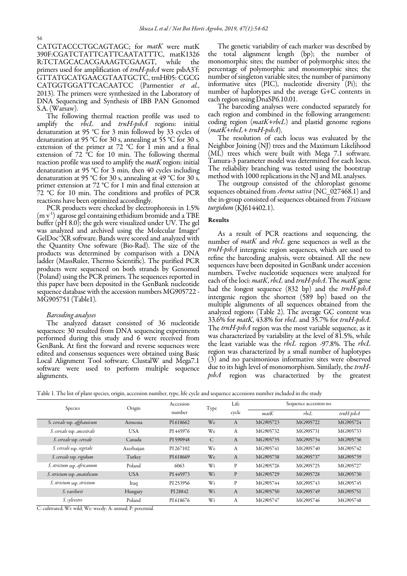CATGTACCCTGCAGTAGC; for matK were matK 390F:CGATCTATTCATTCAATATTTC, matK1326 R:TCTAGCACACGAAAGTCGAAGT, while the primers used for amplification of  $trnH$ -psbA were psbA3'f:GTTATGCATGAACGTAATGCTC, trnHf05: CGCG CATGGTGGATTCACAATCC (Parmentier et al., 2013). The primers were synthesized in the Laboratory of DNA Sequencing and Synthesis of IBB PAN Genomed S.A. (Warsaw).

The following thermal reaction profile was used to amplify the  $rbcL$  and  $trnH-psbA$  regions: initial denaturation at 95 °C for 3 min followed by 33 cycles of denaturation at 95 °C for 30 s, annealing at 55 °C for 30 s, extension of the primer at  $72 \text{ °C}$  for 1 min and a final extension of  $72 \text{ °C}$  for 10 min. The following thermal reaction profile was used to amplify the *matK* region: initial denaturation at 95 °C for 3 min, then 40 cycles including denaturation at 95 °C for 30 s, annealing at 49 °C for 30 s, primer extension at 72 °C for 1 min and final extension at 72 °C for 10 min. The conditions and profiles of PCR reactions have been optimized accordingly.

PCR products were checked by electrophoresis in 1.5% (m v<sup>-1</sup>) agarose gel containing ethidium bromide and a TBE buffer (pH 8.0); the gels were visualized under UV. The gel was analyzed and archived using the Molecular Imager® GelDoc<sup>™</sup>XR software. Bands were scored and analyzed with the Quantity One software (Bio-Rad). The size of the products was determined by comparison with a DNA ladder (MassRuler, Thermo Scientific). The purified PCR products were sequenced on both strands by Genomed (Poland) using the PCR primers. The sequences reported in this paper have been deposited in the GenBank nucleotide sequence database with the accession numbers MG905722 - MG905751 (Table1).

#### Barcoding analyses

The analyzed dataset consisted of 36 nucleotide sequences: 30 resulted from DNA sequencing experiments performed during this study and 6 were received from GenBank. At first the forward and reverse sequences were edited and consensus sequences were obtained using Basic Local Alignment Tool software. ClustalW and Mega7.1 software were used to perform multiple sequence alignments.

The genetic variability of each marker was described by the total alignment length (bp); the number of monomorphic sites; the number of polymorphic sites; the percentage of polymorphic and monomorphic sites; the number of singleton variable sites; the number of parsimony informative sites (PIC), nucleotide diversity (Pi); the number of haplotypes and the average G+C contents in each region using DnaSP6.10.01.

The barcoding analyses were conducted separately for each region and combined in the following arrangement: coding region  $(matK+rbcL)$  and plastid genome regions  $(matK+rbcL+trnH-psbA).$ 

The resolution of each locus was evaluated by the Neighbor Joining (NJ) trees and the Maximum Likelihood (ML) trees which were built with Mega 7.1 software. Tamura-3 parameter model was determined for each locus. The reliability branching was tested using the bootstrap method with 1000 replications in the NJ and ML analyses.

The outgroup consisted of the chloroplast genome sequences obtained from Avena sativa (NC\_027468.1) and the in-group consisted of sequences obtained from Triticum turgidum (KJ614402.1).

### Results

As a result of PCR reactions and sequencing, the number of *matK* and *rbcL* gene sequences as well as the trnH-psbA intergenic region sequences, which are used to refine the barcoding analysis, were obtained. All the new sequences have been deposited in GenBank under accession numbers. Twelve nucleotide sequences were analyzed for each of the loci: matK, rbcL and trnH-psbA. The matK gene had the longest sequence (832 bp) and the  $trnH-psbA$ intergenic region the shortest (589 bp) based on the multiple alignments of all sequences obtained from the analyzed regions (Table 2). The average GC content was 33.6% for matK, 43.8% for rbcL and 35.7% for trnH-psbA. The *trnH-psbA* region was the most variable sequence, as it was characterized by variability at the level of 81.5%, while the least variable was the rbcL region -97.8%. The rbcL region was characterized by a small number of haplotypes (3) and no parsimonious informative sites were observed due to its high level of monomorphism. Similarly, the trnH $psbA$  region was characterized by the greatest

| Species                     | Origin     | Accession<br>number | Type | Life         | Sequence accession no. |          |                 |
|-----------------------------|------------|---------------------|------|--------------|------------------------|----------|-----------------|
|                             |            |                     |      | cycle        | $m$ at $K$             | rbcL     | $trnH$ -psb $A$ |
| S. cereale ssp. afghanicum  | Armenia    | PI 618662           | We   | A            | MG905723               | MG905722 | MG905724        |
| S. cereale ssp. ancestrale  | USA        | PI 445976           | We   | A            | MG905732               | MG905731 | MG905733        |
| S. cereale ssp. cereale     | Canada     | PI 590948           | C    | A            | MG905735               | MG905734 | MG905736        |
| S. cereale ssp. segetale    | Azerbaijan | PI 267102           | We   | А            | MG905741               | MG905740 | MG905742        |
| S. cereale ssp. rigidum     | Turkey     | PI 618669           | We   | A            | MG905738               | MG905737 | MG905739        |
| S. strictum ssp. africanum  | Poland     | 6063                | Wi   | P            | MG905726               | MG905725 | MG905727        |
| S. strictum ssp. anatolicum | <b>USA</b> | PI 445973           | Wi   | $\mathbf{P}$ | MG905729               | MG905728 | MG905730        |
| S. strictum ssp. strictum   | Iraq       | PI 253956           | Wi   | P            | MG905744               | MG905743 | MG905745        |
| S. vavilovii                | Hungary    | PI 28842            | Wi   | A            | MG905750               | MG905749 | MG905751        |
| S. sylvestre                | Poland     | PI 618676           | Wi   | А            | MG905747               | MG905746 | MG905748        |

Table 1. The list of plant species, origin, accession number, type, life cycle and sequence accessions number included in the study

C: cultivated; Wi: wild; We: weedy; A: annual; P: perennial.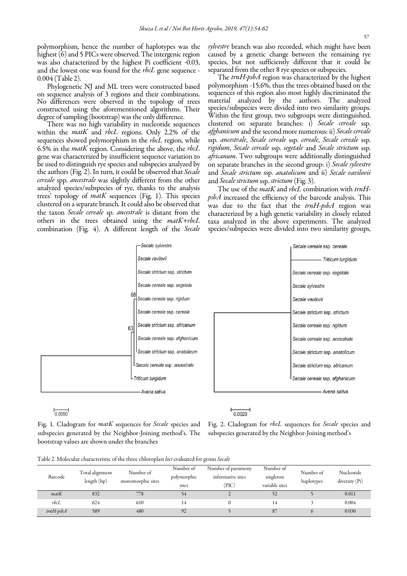polymorphism, hence the number of haplotypes was the highest (6) and 5 PICs were observed. The intergenic region was also characterized by the highest Pi coefficient -0.03, and the lowest one was found for the rbcL gene sequence -0.004 (Table 2).

Phylogenetic NJ and ML trees were constructed based on sequence analysis of 3 regions and their combinations. No differences were observed in the topology of trees constructed using the aforementioned algorithms. Their degree of sampling (bootstrap) was the only difference.

There was no high variability in nucleotide sequences within the *matK* and *rbcL* regions. Only 2.2% of the sequences showed polymorphism in the *rbcL* region, while 6.5% in the *matK* region. Considering the above, the *rbcL* gene was characterized by insufficient sequence variation to be used to distinguish rye species and subspecies analyzed by the authors (Fig. 2). In turn, it could be observed that Secale cereale spp. ancestrale was slightly different from the other analyzed species/subspecies of rye, thanks to the analysis trees' topology of matK sequences (Fig. 1). This species clustered on a separate branch.It could also be observed that the taxon Secale cereale sp. ancestrale is distant from the others in the trees obtained using the matK+rbcL combination (Fig. 4). A different length of the Secale sylvestre branch was also recorded, which might have been caused by a genetic change between the remaining rye species, but not sufficiently different that it could be separated from the other 8 rye species or subspecies.

The trnH-psbA region was characterized by the highest polymorphism -15.6%, thus the trees obtained based on the sequences of this region also most highly discriminated the material analyzed by the authors. The analyzed species/subspecies were divided into two similarity groups. Within the first group, two subgroups were distinguished, clustered on separate branches: i) Secale cereale ssp. afghanicum and the second more numerous: ii) Secale cereale ssp. ancestrale, Secale cereale ssp. cereale, Secale cereale ssp. rigidum, Secale cereale ssp. segetale and Secale strictum ssp. africanum. Two subgroups were additionally distinguished on separate branches in the second group: i) Secale sylvestre and Secale strictum ssp. anatolicum and ii) Secale vavilovii and Secale strictum ssp. strictum (Fig. 3).

The use of the *matK* and *rbcL* combination with trnHpsbA increased the efficiency of the barcode analysis. This was due to the fact that the  $trnH$ -psbA region wascharacterized by a high genetic variability in closely related taxa analyzed in the above experiments. The analyzed species/subspecies were divided into two similarity groups,



 $0.0050$ 

Fig. 1. Cladogram for matK sequences for Secale species and subspecies generated by the Neighbor-Joining method's. The bootstrap values are shown under the branches

Fig. 2. Cladogram for rbcL sequences for Secale species and subspecies generated by the Neighbor-Joining method's

Table 2. Molecular characteristic of the three chloroplast loci evaluated for genus Secale

|                 |                                |                                |                                   | $\sim$                                            |                                          |                         |                                |
|-----------------|--------------------------------|--------------------------------|-----------------------------------|---------------------------------------------------|------------------------------------------|-------------------------|--------------------------------|
| Barcode         | Total alignment<br>length (bp) | Number of<br>monomorphic sites | Number of<br>polymorphic<br>sites | Number of parsimony<br>informative sites<br>(PIC) | Number of<br>singleton<br>variable sites | Number of<br>haplotypes | Nucleotide<br>diversity $(Pi)$ |
| $m$ at $K$      | 832                            | 778                            |                                   |                                                   | 52                                       |                         | 0.011                          |
| rbcL            | 624                            | 610                            | 14                                |                                                   | 14                                       |                         | 0.004                          |
| $trnH$ -psb $A$ | 589                            | 480                            | 92                                |                                                   | 87                                       |                         | 0.030                          |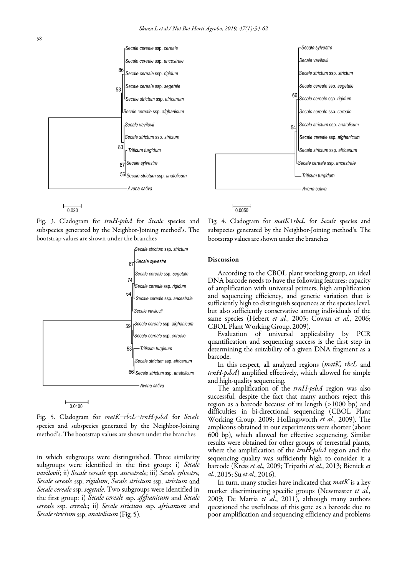



Fig. 3. Cladogram for trnH-psbA for Secale species and subspecies generated by the Neighbor-Joining method's. The bootstrap values are shown under the branches





Fig. 5. Cladogram for matK+rbcL+trnH-psbA for Secale species and subspecies generated by the Neighbor-Joining method's. The bootstrap values are shown under the branches

in which subgroups were distinguished. Three similarity subgroups were identified in the first group: i) Secale vavilovii; ii) Secale cereale spp. ancestrale; iii) Secale sylvestre, Secale cereale ssp. rigidum, Secale strictum ssp. strictum and Secale cereale ssp. segetale. Two subgroups were identified in the first group: i) Secale cereale ssp. afghanicum and Secale cereale ssp. cereale; ii) Secale strictum ssp. africanum and Secale strictum ssp. anatolicum (Fig. 5).

Fig. 4. Cladogram for matK+rbcL for Secale species and subspecies generated by the Neighbor-Joining method's. The bootstrap values are shown under the branches

-Secale svlvestre

Secale vavilovii

66

 $54$ 

Secale strictum ssp. strictum

Secale cereale ssp. segetale

Secale cereale ssp. rigidum

Secale cereale ssp. cereale Secale strictum ssp. anatolicum

Secale cereale ssp. afghanicum

Secale strictum ssp. africanum

l Secale cereale ssp. ancestrale

Triticum turgidum

Avena sativa

#### Discussion

 $\frac{1}{0.0050}$ 

According to the CBOL plant working group, an ideal DNA barcode needs to have the following features: capacity of amplification with universal primers, high amplification and sequencing efficiency, and genetic variation that is sufficiently high to distinguish sequences at the species level, but also sufficiently conservative among individuals of the same species (Hebert et al., 2003; Cowan et al., 2006; CBOL Plant Working Group, 2009).

Evaluation of universal applicability by PCR quantification and sequencing success is the first step in determining the suitability of a given DNA fragment as a barcode.

In this respect, all analyzed regions (matK, rbcL and trnH-psbA) amplified effectively, which allowed for simple and high-quality sequencing.

The amplification of the trnH-psbA region was also successful, despite the fact that many authors reject this region as a barcode because of its length (>1000 bp) and difficulties in bi-directional sequencing (CBOL Plant Working Group, 2009; Hollingsworth et al., 2009). The amplicons obtained in our experiments were shorter (about 600 bp), which allowed for effective sequencing. Similar results were obtained for other groups of terrestrial plants, where the amplification of the  $trnH-psbA$  region and the sequencing quality was sufficiently high to consider it a barcode (Kress et al., 2009; Tripathi et al., 2013; Bieniek et al., 2015; Su et al., 2016).

In turn, many studies have indicated that  $m \alpha t K$  is a key marker discriminating specific groups (Newmaster et al., 2009; De Mattia et al., 2011), although many authors questioned the usefulness of this gene as a barcode due to poor amplification and sequencing efficiency and problems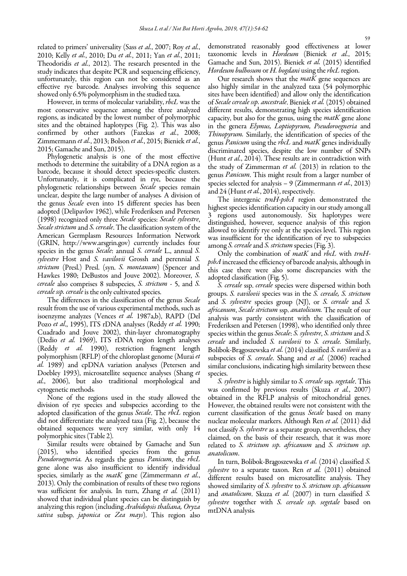related to primers' universality (Sass et al., 2007; Roy et al., 2010; Kelly et al., 2010; Du et al., 2011; Yan et al., 2011; Theodoridis et al., 2012). The research presented in the study indicates that despite PCR and sequencing efficiency, unfortunately, this region can not be considered as an effective rye barcode. Analyses involving this sequence showed only 6.5% polymorphism in the studied taxa.

However, in terms of molecular variability, rbcL was the most conservative sequence among the three analyzed regions, as indicated by the lowest number of polymorphic sites and the obtained haplotypes (Fig. 2). This was also confirmed by other authors (Fazekas et al., 2008; Zimmermann et al., 2013; Bolson et al., 2015; Bieniek et al., 2015; Gamache and Sun, 2015).

Phylogenetic analysis is one of the most effective methods to determine the suitability of a DNA region as a barcode, because it should detect species-specific clusters. Unfortunately, it is complicated in rye, because the phylogenetic relationships between Secale species remain unclear, despite the large number of analyses. A division of the genus *Secale* even into 15 different species has been adopted (Delipavlov 1962), while Frederiksen and Petersen (1998) recognized only three Secale species: Secale sylvestre, Secale strictum and S. cereale. The classification system of the American Germplasm Resources Information Network (GRIN, http://www.arsgrin.gov) currently includes four species in the genus *Secale*: annual *S. cereale* L., annual *S.* sylvestre Host and S. vavilovii Grossh and perennial S. strictum (Presl.) Presl. (syn. S. montanum) (Spencer and Hawkes 1980; DeBustos and Jouve 2002). Moreover, S. cereale also comprises 8 subspecies, S. strictum - 5, and S. cereale ssp. cereale is the only cultivated species.

The differences in the classification of the genus Secale result from the use of various experimental methods, such as isoenzyme analyzes (Vences et al. 1987a,b), RAPD (Del Pozo et al., 1995), ITS rDNA analyses (Reddy et al. 1990; Cuadrado and Jouve 2002), thin-layer chromatography (Dedio et al. 1969), ITS rDNA region length analyses (Reddy et al. 1990), restriction fragment length polymorphism (RFLP) of the chloroplast genome (Murai et al. 1989) and cpDNA variation analyses (Petersen and Doebley 1993), microsatellite sequence analyses (Shang et al., 2006), but also traditional morphological and cytogenetic methods.

None of the regions used in the study allowed the division of rye species and subspecies according to the adopted classification of the genus Secale. The rbcL region did not differentiate the analyzed taxa (Fig. 2), because the obtained sequences were very similar, with only 14 polymorphic sites (Table 2).

Similar results were obtained by Gamache and Sun (2015), who identified species from the genus Pseudoroegneria. As regards the genus Panicum, the rbcL gene alone was also insufficient to identify individual species, similarly as the  $m \in K$  gene (Zimmermann et al., 2013). Only the combination of results of these two regions was sufficient for analysis. In turn, Zhang et al. (2011) showed that individual plant species can be distinguish by analyzing this region (including Arabidopsis thaliana, Oryza sativa subsp. japonica or Zea mays). This region also demonstrated reasonably good effectiveness at lower taxonomic levels in Hordeum (Bieniek et al., 2015; Gamache and Sun, 2015). Bieniek et al. (2015) identified Hordeum bulbosum or H. bogdani using the rbcL region.

Our research shows that the  $\textit{matK}$  gene sequences are also highly similar in the analyzed taxa (54 polymorphic sites have been identified) and allow only the identification of Secale cereale ssp. ancestrale. Bieniek et al. (2015) obtained different results, demonstrating high species identification capacity, but also for the genus, using the  $m \alpha t K$  gene alone in the genera Elymus, Loptiopyrum, Pseudoroegneria and Thinopyrum. Similarly, the identification of species of the genus Panicum using the rbcL and matK genes individually discriminated species, despite the low number of SNPs (Hunt et al., 2014). These results are in contradiction with the study of Zimmerman et al. (2013) in relation to the genus Panicum. This might result from a larger number of species selected for analysis – 9 (Zimmermann et al., 2013) and 24 (Hunt *et al.*, 2014), respectively.

The intergenic trnH-psbA region demonstrated the highest species identification capacity in our study among all 3 regions used autonomously. Six haplotypes were distinguished, however, sequence analysis of this region allowed to identify rye only at the species level. This region was insufficient for the identification of rye to subspecies among *S. cereale* and *S. strictum* species (Fig. 3).

Only the combination of matK and rbcL with trnHpsbA increased the efficiency of barcode analysis, although in this case there were also some discrepancies with the adopted classification (Fig. 5).

S. cereale ssp. cereale species were dispersed within both groups. S. vavilovii species was in the S. cereale, S. strictum and S. sylvestre species group (NJ), or S. cereale and S. africanum, Secale strictum ssp. anatolicum. The result of our analysis was partly consistent with the classification of Frederiksen and Petersen (1998), who identified only three species within the genus Secale: S. sylvestre, S. strictum and S. cereale and included S. vavilovii to S. cereale. Similarly, Bolibok-Brągoszewska et al. (2014) classified S. vavilovii as a subspecies of S. cereale. Shang and et al. (2006) reached similar conclusions, indicating high similarity between these species.

S. *sylvestre* is highly similar to S. cereale ssp. *segetale*. This was confirmed by previous results (Skuza et al., 2007) obtained in the RFLP analysis of mitochondrial genes. However, the obtained results were not consistent with the current classification of the genus Secale based on many nuclear molecular markers. Although Ren et al. (2011) did not classify S. sylvestre as a separate group, nevertheless, they claimed, on the basis of their research, that it was more related to S. strictum ssp. africanum and S. strictum ssp. anatolicum.

In turn, Bolibok-Brągoszewska et al. (2014) classified S. sylvestre to a separate taxon. Ren et al.  $(2011)$  obtained different results based on microsatellite analysis. They showed similarity of S. sylvestre to S. strictum ssp. africanum and *anatolicum*. Skuza et al. (2007) in turn classified S. sylvestre together with S. cereale ssp. segetale based on mtDNA analysis.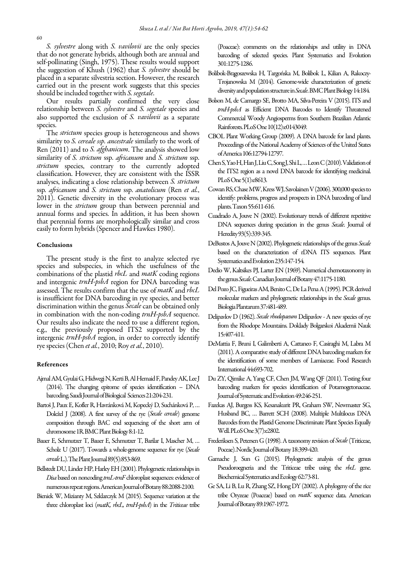S. sylvestre along with S. vavilovii are the only species that do not generate hybrids, although both are annual and self-pollinating (Singh, 1975). These results would support the suggestion of Khush (1962) that S. sylvestre should be placed in a separate silvestria section. However, the research carried out in the present work suggests that this species should be included together with *S. segetale*.

Our results partially confirmed the very close relationship between S. sylvestre and S. segetale species and also supported the exclusion of S. vavilovii as a separate species.

The *strictum* species group is heterogeneous and shows similarity to *S. cereale ssp. ancestrale* similarly to the work of Ren (2011) and to S. *afghanicum*. The analysis showed low similarity of S. strictum ssp. africanum and S. strictum ssp. strictum species, contrary to the currently adopted classification. However, they are consistent with the ISSR analyses, indicating a close relationship between S. strictum ssp. africanum and S. strictum ssp. anatolicum (Ren et al., 2011). Genetic diversity in the evolutionary process was lower in the *strictum* group than between perennial and annual forms and species. In addition, it has been shown that perennial forms are morphologically similar and cross easily to form hybrids (Spencer and Hawkes 1980).

#### Conclusions

The present study is the first to analyze selected rye species and subspecies, in which the usefulness of the combinations of the plastid *rbcL* and *matK* coding regions and intergenic *trnH-psbA* region for DNA barcoding was assessed. The results confirm that the use of matK and rbcL is insufficient for DNA barcoding in rye species, and better discrimination within the genus Secale can be obtained only in combination with the non-coding  $trnH$ -psbA sequence. Our results also indicate the need to use a different region, e.g., the previously proposed ITS2 supported by the intergenic trnH-psbA region, in order to correctly identify rye species (Chen *et al.*, 2010; Roy *et al.*, 2010).

#### References

- Ajmal AM, Gyulai G, Hidwegi N, Kerti B, Al Hemaid F, Pandey AK, Lee J (2014). The changing epitome of species identification – DNA barcoding. Saudi Journal of Biological Sciences 21:204-231.
- Bartoš J, Paux E, Kofler R, Havránková M, Kopecký D, Suchánková P, … Doležel J (2008). A first survey of the rye (Secale cereale) genome composition through BAC end sequencing of the short arm of chromosome 1R. BMC Plant Biology 8:1-12.
- Bauer E, Schmutzer T, Bauer E, Schmutzer T, Barilar I, Mascher M, … Scholz U (2017). Towards a whole-genome sequence for rye (Secale cereale L.). The Plant Journal 89(5):853-869.
- Bellstedt DU, Linder HP, Harley EH (2001). Phylogenetic relationships in Disa based on noncoding trnL-trnF chloroplast sequences: evidence of numerous repeat regions. American Journal of Botany 88:2088-2100.
- Bieniek W, Mizianty M, Szklarczyk M (2015). Sequence variation at the three chloroplast loci (matK, rbcL, trnH-psbA) in the Triticeae tribe

(Poaceae): comments on the relationships and utility in DNA barcoding of selected species. Plant Systematics and Evolution 301:1275-1286.

- Bolibok-Brągoszewska H, Targońska M, Bolibok L, Kilian A, Rakoczy-Trojanowska M (2014). Genome-wide characterization of genetic diversity and population structure in Secale. BMC Plant Biology 14:184.
- Bolson M, de Camargo SE, Brotto MA, Silva-Pereira V (2015). ITS and trnH-psbA as Efficient DNA Barcodes to Identify Threatened Commercial Woody Angiosperms from Southern Brazilian Atlantic Rainforests. PLoS One 10(12):e0143049.
- CBOL Plant Working Group (2009). A DNA barcode for land plants. Proceedings of the National Academy of Sciences of the United States of America 106:12794-12797.
- Chen S, Yao H, Han J, Liu C, Song J, Shi L, … Leon C (2010). Validation of the ITS2 region as a novel DNA barcode for identifying medicinal. PLoS One 5(1):e8613.
- Cowan RS, Chase MW, Kress WJ, Savolainen V (2006). 300,000 species to identify: problems, progress and prospects in DNA barcoding of land plants. Taxon 55:611-616.
- Cuadrado A, Jouve N (2002). Evolutionary trends of different repetitive DNA sequences during speciation in the genus Secale. Journal of Heredity 93(5):339-345.
- DeBustos A, Jouve N (2002). Phylogenetic relationships of the genus Secale based on the characterization of rDNA ITS sequences. Plant Systematics and Evolution 235:147-154.
- Dedio W, Kaltsikes PJ, Larter EN (1969). Numerical chemotaxonomy in the genus Secale. Canadian Journal of Botany 47:1175-1180.
- Del Pozo JC, Figueiras AM, Benito C, De La Pena A (1995). PCR derived molecular markers and phylogenetic relationships in the Secale genus. Biologia Plantarum 37:481-489.
- Delipavlov D (1962). Secale rhodopaeum Delipavlov A new species of rye from the Rhodope Mountains. Doklady Bolgarskoi Akademii Nauk 15:407-411.
- DeMattia F, Bruni I, Galimberti A, Cattaneo F, Casiraghi M, Labra M (2011). A comparative study of different DNA barcoding markers for the identification of some members of Lamiaceae. Food Research International 44:693-702.
- Du ZY, Qimike A, Yang CF, Chen JM, Wang QF (2011). Testing four barcoding markers for species identification of Potamogetonaceae. Journal of Systematic and Evolution 49:246-251.
- Fazekas AJ, Burgess KS, Kesanakurit PR, Graham SW, Newmaster SG, Husband BC, … Barrett SCH (2008). Multiple Multilocus DNA Barcodes from the Plastid Genome Discriminate Plant Species Equally Well. PLoS One 3(7):e2802.
- Frederiksen S, Petersen G (1998). A taxonomy revision of Secale (Triticeae, Poceae). Nordic Journal of Botany 18:399-420.
- Gamache J, Sun G (2015). Phylogenetic analysis of the genus Pseudoroegneria and the Triticeae tribe using the rbcL gene. Biochemical Systematics and Ecology 62:73-81.
- Ge SA, Li B, Lu R, Zhang SZ, Hong DY (2002). A phylogeny of the rice tribe Oryzeae (Poaceae) based on matK sequence data. American Journal of Botany 89:1967-1972.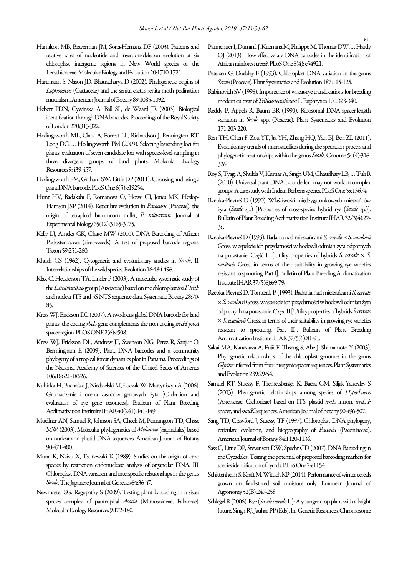- Hamilton MB, Braverman JM, Soria-Hernanz DF (2003). Patterns and relative rates of nucleotide and insertion/deletion evolution at six chloroplast intergenic regions in New World species of the Lecythidaceae. Molecular Biology and Evolution 20:1710-1721.
- Hartmann S, Nason JD, Bhattacharya D (2002). Phylogenetic origins of Lophocereus (Cactaceae) and the senita cactus-senita moth pollination mutualism. American Journal of Botany 89:1085-1092.
- Hebert PDN, Cywinska A, Ball SL, de Waard JR (2003). Biological identification through DNA barcodes. Proceedings of the Royal Society of London 270:313-322.
- Hollingsworth ML, Clark A, Forrest LL, Richardson J, Pennington RT, Long DG, … Hollingsworth PM (2009). Selecting barcoding loci for plants: evaluation of seven candidate loci with species-level sampling in three divergent groups of land plants. Molecular Ecology Resources 9:439-457.
- Hollingsworth PM, Graham SW, Little DP (2011). Choosing and using a plant DNA barcode. PLoS One 6(5):e19254.
- Hunt HV, Badakshi F, Romanova O, Howe CJ, Jones MK, Heslop-Harrison JSP (2014). Reticulate evolution in Panicum (Poaceae): the origin of tetraploid broomcorn millet, P. miliaceum. Journal of Experimental Biology 65(12):3165-3175.
- Kelly LJ, Ameka GK, Chase MW (2010). DNA Barcoding of African Podostemaceae (river-weeds): A test of proposed barcode regions. Taxon 59:251-260.
- Khush GS (1962). Cytogenetic and evolutionary studies in Secale. II. Interrelationships of the wild species. Evolution 16:484-496.
- Klak C, Hedderson TA, Linder P (2003). A molecular systematic study of the Lampranthus group (Aizoaceae) based on the chloroplast trnT-trnF and nuclear ITS and 5S NTS sequence data. Systematic Botany 28:70- 85.
- Kress WJ, Erickson DL (2007). A two-locus global DNA barcode for land plants: the coding rbcL gene complements the non-coding trnH-psbA spacer region. PLOS ONE 2(6):e508.
- Kress WJ, Erickson DL, Andrew JF, Swenson NG, Perez R, Sanjur O, Bermingham E (2009). Plant DNA barcodes and a community phylogeny of a tropical forest dynamics plot in Panama.Proceedings of the National Academy of Sciences of the United States of America 106:18621-18626.
- Kubicka H, Puchalski J, Niedzielski M, Łuczak W, Martyniszyn A (2006). Gromadzenie i ocena zasobów genowych żyta [Collection and evaluation of rye gene resources]. Biulletin of Plant Breeding Acclimatization Instituite IHAR 40(241):141-149.
- Muellner AN, Samuel R, Johnson SA, Cheek M, Pennington TD, Chase MW (2003). Molecular phylogenetics of Meliaceae (Sapindales) based on nuclear and plastid DNA sequences. American Jouranl of Botany 90:471-480.
- Murai K, Naiyu X, Tsunewaki K (1989). Studies on the origin of crop species by restriction endonuclease analysis of organellar DNA. III. Chloroplast DNA variation and interspecific relationships in the genus Secale. The Japanese Journal of Genetics 64:36-47.
- Newmaster SG, Ragupathy S (2009). Testing plant barcoding in a sister species complex of pantropical Acacia (Mimosoideae, Fabaceae). Molecular Ecology Resources 9:172-180.
- Parmentier I, Duminil J, Kuzmina M, Philippe M, Thomas DW, … Hardy OJ (2013). How effective are DNA barcodes in the identification of African rainforest trees?. PLoS One 8(4): e54921.
- Petersen G, Doebley F (1993). Chloroplast DNA variation in the genus Secale (Poaceae). Plant Systematics and Evolution 187:115-125.
- Rabinovich SV (1998). Importance of wheat-rye translocations for breeding modern cultivar of Triticum aestivum L. Euphtytica 100:323-340.
- Reddy P, Appels R, Baum BR (1990). Ribosomal DNA spacer-length variation in Secale spp. (Poaceae). Plant Systematics and Evolution 171:203-220.
- Ren TH, Chen F, Zou YT, Jia YH, Zhang HQ, Yan BJ, Ben ZL (2011). Evolutionary trends of microsatellites during the speciation process and phylogenetic relationships within the genus Secale. Genome 54(4):316- 326.
- Roy S, Tyagi A, Shukla V, Kumar A, Singh UM, Chaudhary LB, … Tuli R (2010). Universal plant DNA barcode loci may not work in complex groups: A case study with Indian Berberis species. PLoS One 5:e13674.
- Rzepka-Plevneś D (1990). Właściwości międzygatunkowych mieszańców żyta (Secale sp.) [Properties of cross-species hybrid rye (Secale sp.)]. Bulletin of Plant Breeding Acclimatization Institute IHAR 32/3(4):27- 36.
- Rzepka-Plevneś D (1993). Badania nad mieszańcami S. cereale × S. vavilovii Gross. w aspekcie ich przydatności w hodowli odmian żyta odpornych na porastanie. Część I [Utility properties of hybrids S. cereale  $\times$  S. vavilovii Gross. in terms of their suitability in growing rye varieties resistant to sprouting. Part I]. Bulletin of Plant Breeding Acclimatization Institute IHAR 37/5(6):69-79.
- Rzepka-Plevneś D, Tomczak P (1993). Badania nad mieszańcami S. cereale × S. vavilovii Gross. w aspekcie ich przydatności w hodowli odmian żyta odpornych na porastanie. Część II [Utility properties of hybrids S. cereale  $\times$  S. vavilovii Gross. in terms of their suitability in growing rye varieties resistant to sprouting. Part II]. Bulletin of Plant Breeding Acclimatization Institute IHAR 37/5(6):81-91.
- Sakai MA, Kanazawa A, Fujii F, Thseng S, Abe J, Shimamoto Y (2003). Phylogenetic relationships of the chloroplast genomes in the genus Glycine inferred from four intergenic spacer sequences. Plant Systematics and Evolution 239:29-54.
- Samuel RT, Stuessy F, Tremetsberger K, Baeza CM, Siljak-Yakovlev S (2003). Phylogenetic relationships among species of Hypochaeris (Asteraceae, Cichorieae) based on ITS, plastid trnL intron, trnL-F spacer, and matK sequences. American Journal of Botany 90:496-507.
- Sang TD, Crawford J, Stuessy TF (1997). Chloroplast DNA phylogeny, reticulate evolution, and biogeography of Paeonia (Paeoniaceae). American Journal of Botany 84:1120-1136.
- Sass C, Little DP, Stevenson DW, Specht CD (2007). DNA Barcoding in the Cycadales: Testing the potential of proposed barcoding markers for species identification of cycads. PLoS One 2:e1154.
- Schittenhelm S, Kraft M, Wittich KP (2014). Performance of winter cereals grown on field-stored soil moisture only. European Journal of Agronomy 52(B):247-258.
- Schlegel R (2006). Rye (*Secale cereale L.*): A younger crop plant with a bright future. Singh RJ, Jauhar PP (Eds). In: Genetic Resources, Chromosome